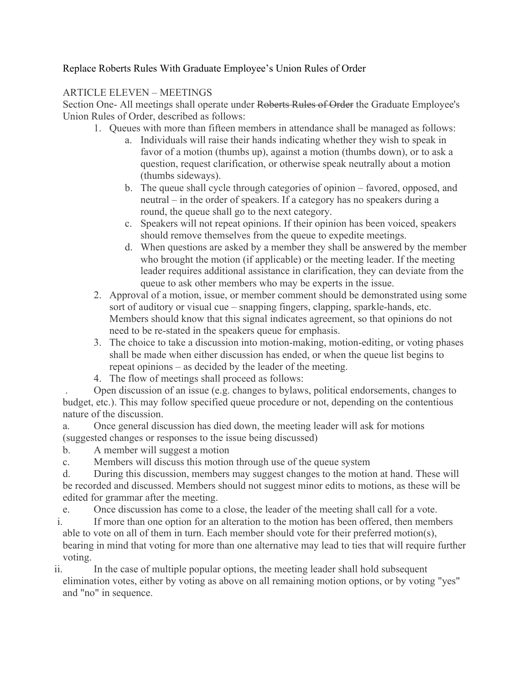## Replace Roberts Rules With Graduate Employee's Union Rules of Order

## ARTICLE ELEVEN – MEETINGS

Section One- All meetings shall operate under Roberts Rules of Order the Graduate Employee's Union Rules of Order, described as follows:

- 1. Queues with more than fifteen members in attendance shall be managed as follows:
	- a. Individuals will raise their hands indicating whether they wish to speak in favor of a motion (thumbs up), against a motion (thumbs down), or to ask a question, request clarification, or otherwise speak neutrally about a motion (thumbs sideways).
	- b. The queue shall cycle through categories of opinion favored, opposed, and neutral – in the order of speakers. If a category has no speakers during a round, the queue shall go to the next category.
	- c. Speakers will not repeat opinions. If their opinion has been voiced, speakers should remove themselves from the queue to expedite meetings.
	- d. When questions are asked by a member they shall be answered by the member who brought the motion (if applicable) or the meeting leader. If the meeting leader requires additional assistance in clarification, they can deviate from the queue to ask other members who may be experts in the issue.
- 2. Approval of a motion, issue, or member comment should be demonstrated using some sort of auditory or visual cue – snapping fingers, clapping, sparkle-hands, etc. Members should know that this signal indicates agreement, so that opinions do not need to be re-stated in the speakers queue for emphasis.
- 3. The choice to take a discussion into motion-making, motion-editing, or voting phases shall be made when either discussion has ended, or when the queue list begins to repeat opinions – as decided by the leader of the meeting.
- 4. The flow of meetings shall proceed as follows:

. Open discussion of an issue (e.g. changes to bylaws, political endorsements, changes to budget, etc.). This may follow specified queue procedure or not, depending on the contentious nature of the discussion.

a. Once general discussion has died down, the meeting leader will ask for motions (suggested changes or responses to the issue being discussed)

- b. A member will suggest a motion
- c. Members will discuss this motion through use of the queue system

d. During this discussion, members may suggest changes to the motion at hand. These will be recorded and discussed. Members should not suggest minor edits to motions, as these will be edited for grammar after the meeting.

e. Once discussion has come to a close, the leader of the meeting shall call for a vote.

i. If more than one option for an alteration to the motion has been offered, then members able to vote on all of them in turn. Each member should vote for their preferred motion(s), bearing in mind that voting for more than one alternative may lead to ties that will require further voting.

ii. In the case of multiple popular options, the meeting leader shall hold subsequent elimination votes, either by voting as above on all remaining motion options, or by voting "yes" and "no" in sequence.